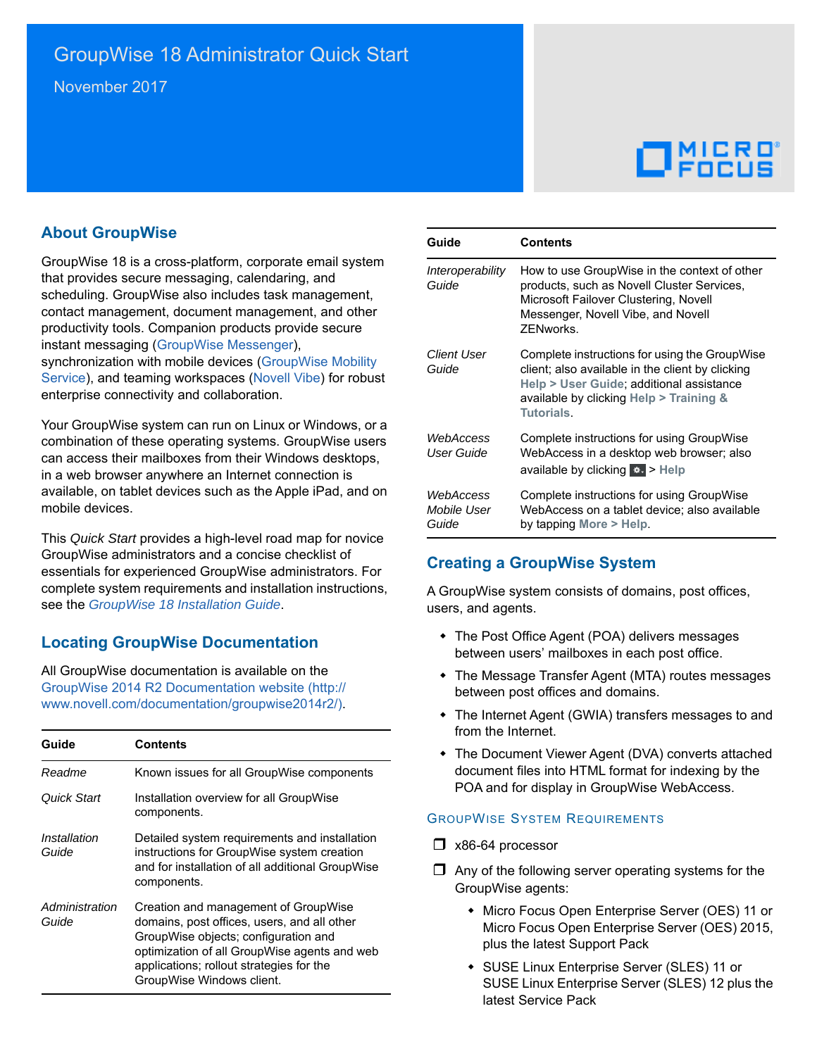# $\Box$ MICRO

## **About GroupWise**

GroupWise 18 is a cross-platform, corporate email system that provides secure messaging, calendaring, and scheduling. GroupWise also includes task management, contact management, document management, and other productivity tools. Companion products provide secure instant messaging ([GroupWise Messenger\)](http://www.novell.com/documentation/novell_messenger22/), synchronization with mobile devices ([GroupWise Mobility](http://www.novell.com/documentation/groupwisemobility2/)  [Service](http://www.novell.com/documentation/groupwisemobility2/)), and teaming workspaces ([Novell Vibe](http://www.novell.com/documentation/vibe34/)) for robust enterprise connectivity and collaboration.

Your GroupWise system can run on Linux or Windows, or a combination of these operating systems. GroupWise users can access their mailboxes from their Windows desktops, in a web browser anywhere an Internet connection is available, on tablet devices such as the Apple iPad, and on mobile devices.

This *Quick Start* provides a high-level road map for novice GroupWise administrators and a concise checklist of essentials for experienced GroupWise administrators. For complete system requirements and installation instructions, see the *[GroupWise 18 Installation Guide](https://www.novell.com/documentation/groupwise18/pdfdoc/gw18_guide_install/gw18_guide_install.pdf#instfront)*.

# **Locating GroupWise Documentation**

All GroupWise documentation is available on the [GroupWise 2014 R2 Documentation website](http://www.novell.com/documentation/groupwise2014r2/) (http:// www.novell.com/documentation/groupwise2014r2/).

| Guide                   | <b>Contents</b>                                                                                                                                                                                                                                      |
|-------------------------|------------------------------------------------------------------------------------------------------------------------------------------------------------------------------------------------------------------------------------------------------|
| Readme                  | Known issues for all GroupWise components                                                                                                                                                                                                            |
| Quick Start             | Installation overview for all GroupWise<br>components.                                                                                                                                                                                               |
| Installation<br>Guide   | Detailed system requirements and installation<br>instructions for GroupWise system creation<br>and for installation of all additional GroupWise<br>components.                                                                                       |
| Administration<br>Guide | Creation and management of GroupWise<br>domains, post offices, users, and all other<br>GroupWise objects; configuration and<br>optimization of all GroupWise agents and web<br>applications; rollout strategies for the<br>GroupWise Windows client. |

| Guide                             | <b>Contents</b>                                                                                                                                                                                        |
|-----------------------------------|--------------------------------------------------------------------------------------------------------------------------------------------------------------------------------------------------------|
| Interoperability<br>Guide         | How to use GroupWise in the context of other<br>products, such as Novell Cluster Services,<br>Microsoft Failover Clustering, Novell<br>Messenger, Novell Vibe, and Novell<br><b>7FNworks</b>           |
| Client User<br>Guide              | Complete instructions for using the GroupWise<br>client; also available in the client by clicking<br>Help > User Guide; additional assistance<br>available by clicking Help > Training &<br>Tutorials. |
| WebAccess<br>User Guide           | Complete instructions for using GroupWise<br>WebAccess in a desktop web browser; also<br>available by clicking <b>**</b> > Help                                                                        |
| WebAccess<br>Mobile User<br>Guide | Complete instructions for using GroupWise<br>WebAccess on a tablet device; also available<br>by tapping More > Help.                                                                                   |

# **Creating a GroupWise System**

A GroupWise system consists of domains, post offices, users, and agents.

- The Post Office Agent (POA) delivers messages between users' mailboxes in each post office.
- The Message Transfer Agent (MTA) routes messages between post offices and domains.
- The Internet Agent (GWIA) transfers messages to and from the Internet.
- The Document Viewer Agent (DVA) converts attached document files into HTML format for indexing by the POA and for display in GroupWise WebAccess.

#### <span id="page-0-0"></span>GROUPWISE SYSTEM REQUIREMENTS

- $\Box$  x86-64 processor
- $\Box$  Any of the following server operating systems for the GroupWise agents:
	- Micro Focus Open Enterprise Server (OES) 11 or Micro Focus Open Enterprise Server (OES) 2015, plus the latest Support Pack
	- SUSE Linux Enterprise Server (SLES) 11 or SUSE Linux Enterprise Server (SLES) 12 plus the latest Service Pack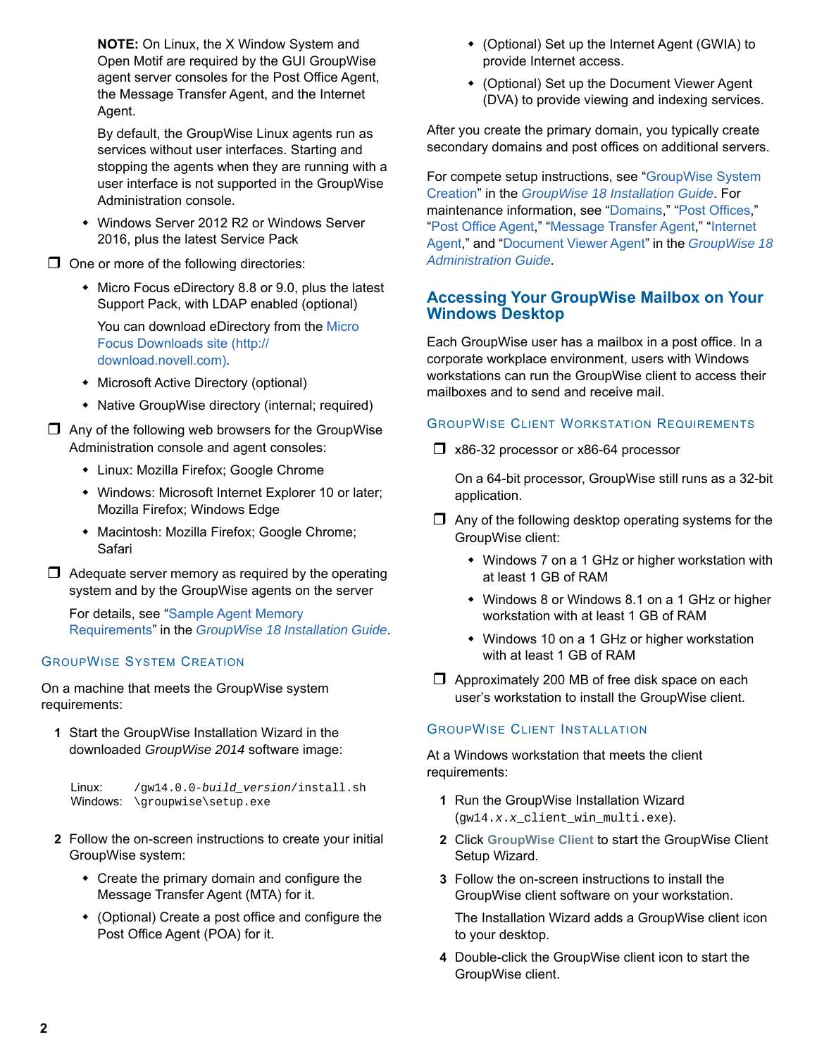**NOTE:** On Linux, the X Window System and Open Motif are required by the GUI GroupWise agent server consoles for the Post Office Agent, the Message Transfer Agent, and the Internet Agent.

By default, the GroupWise Linux agents run as services without user interfaces. Starting and stopping the agents when they are running with a user interface is not supported in the GroupWise Administration console.

 Windows Server 2012 R2 or Windows Server 2016, plus the latest Service Pack

 $\Box$  One or more of the following directories:

• Micro Focus eDirectory 8.8 or 9.0, plus the latest Support Pack, with LDAP enabled (optional)

You can download eDirectory from the [Micro](http://download.novell.com)  [Focus Downloads site](http://download.novell.com) (http:// download.novell.com).

- Microsoft Active Directory (optional)
- Native GroupWise directory (internal; required)

 $\Box$  Any of the following web browsers for the GroupWise Administration console and agent consoles:

- Linux: Mozilla Firefox; Google Chrome
- Windows: Microsoft Internet Explorer 10 or later; Mozilla Firefox; Windows Edge
- Macintosh: Mozilla Firefox; Google Chrome; Safari

 $\Box$  Adequate server memory as required by the operating system and by the GroupWise agents on the server

For details, see ["Sample Agent Memory](https://www.novell.com/documentation/groupwise18/pdfdoc/gw18_guide_install/gw18_guide_install.pdf#instreqadminagentmemory)  Requirements" in the *[GroupWise 18 Installation Guide](https://www.novell.com/documentation/groupwise18/pdfdoc/gw18_guide_install/gw18_guide_install.pdf#instfront)*.

#### <span id="page-1-0"></span>GROUPWISE SYSTEM CREATION

On a machine that meets the GroupWise system requirements:

**1** Start the GroupWise Installation Wizard in the downloaded *GroupWise 2014* software image:

```
Linux: 
Windows: 
\groupwise\setup.exe/gw14.0.0-build_version/install.sh
```
- **2** Follow the on-screen instructions to create your initial GroupWise system:
	- Create the primary domain and configure the Message Transfer Agent (MTA) for it.
	- (Optional) Create a post office and configure the Post Office Agent (POA) for it.
- (Optional) Set up the Internet Agent (GWIA) to provide Internet access.
- (Optional) Set up the Document Viewer Agent (DVA) to provide viewing and indexing services.

After you create the primary domain, you typically create secondary domains and post offices on additional servers.

For compete setup instructions, see ["GroupWise System](https://www.novell.com/documentation/groupwise18/pdfdoc/gw18_guide_install/gw18_guide_install.pdf#instcreatesystem)  Creation" in the *[GroupWise 18 Installation Guide](https://www.novell.com/documentation/groupwise18/pdfdoc/gw18_guide_install/gw18_guide_install.pdf#instfront)*. For maintenance information, see ["Domains,](https://www.novell.com/documentation/groupwise18/pdfdoc/gw18_guide_admin/gw18_guide_admin.pdf#admindomains)" "[Post Offices,](https://www.novell.com/documentation/groupwise18/pdfdoc/gw18_guide_admin/gw18_guide_admin.pdf#adminpostoffices)" ["Post Office Agent](https://www.novell.com/documentation/groupwise18/pdfdoc/gw18_guide_admin/gw18_guide_admin.pdf#adminpoa)," "[Message Transfer Agent,](https://www.novell.com/documentation/groupwise18/pdfdoc/gw18_guide_admin/gw18_guide_admin.pdf#adminmta)" ["Internet](https://www.novell.com/documentation/groupwise18/pdfdoc/gw18_guide_admin/gw18_guide_admin.pdf#admingwia)  Agent," and ["Document Viewer Agent"](https://www.novell.com/documentation/groupwise18/pdfdoc/gw18_guide_admin/gw18_guide_admin.pdf#admindva) in the *[GroupWise 18](https://www.novell.com/documentation/groupwise18/pdfdoc/gw18_guide_admin/gw18_guide_admin.pdf#adminfront)  Administration Guide*.

## **Accessing Your GroupWise Mailbox on Your Windows Desktop**

Each GroupWise user has a mailbox in a post office. In a corporate workplace environment, users with Windows workstations can run the GroupWise client to access their mailboxes and to send and receive mail.

#### GROUPWISE CLIENT WORKSTATION REQUIREMENTS

x86-32 processor or x86-64 processor

On a 64-bit processor, GroupWise still runs as a 32-bit application.

- $\Box$  Any of the following desktop operating systems for the GroupWise client:
	- Windows 7 on a 1 GHz or higher workstation with at least 1 GB of RAM
	- Windows 8 or Windows 8.1 on a 1 GHz or higher workstation with at least 1 GB of RAM
	- Windows 10 on a 1 GHz or higher workstation with at least 1 GB of RAM
- $\Box$  Approximately 200 MB of free disk space on each user's workstation to install the GroupWise client.

#### GROUPWISE CLIENT INSTALLATION

At a Windows workstation that meets the client requirements:

- **1** Run the GroupWise Installation Wizard (gw14.*x*.*x*\_client\_win\_multi.exe).
- **2** Click **GroupWise Client** to start the GroupWise Client Setup Wizard.
- **3** Follow the on-screen instructions to install the GroupWise client software on your workstation.

The Installation Wizard adds a GroupWise client icon to your desktop.

**4** Double-click the GroupWise client icon to start the GroupWise client.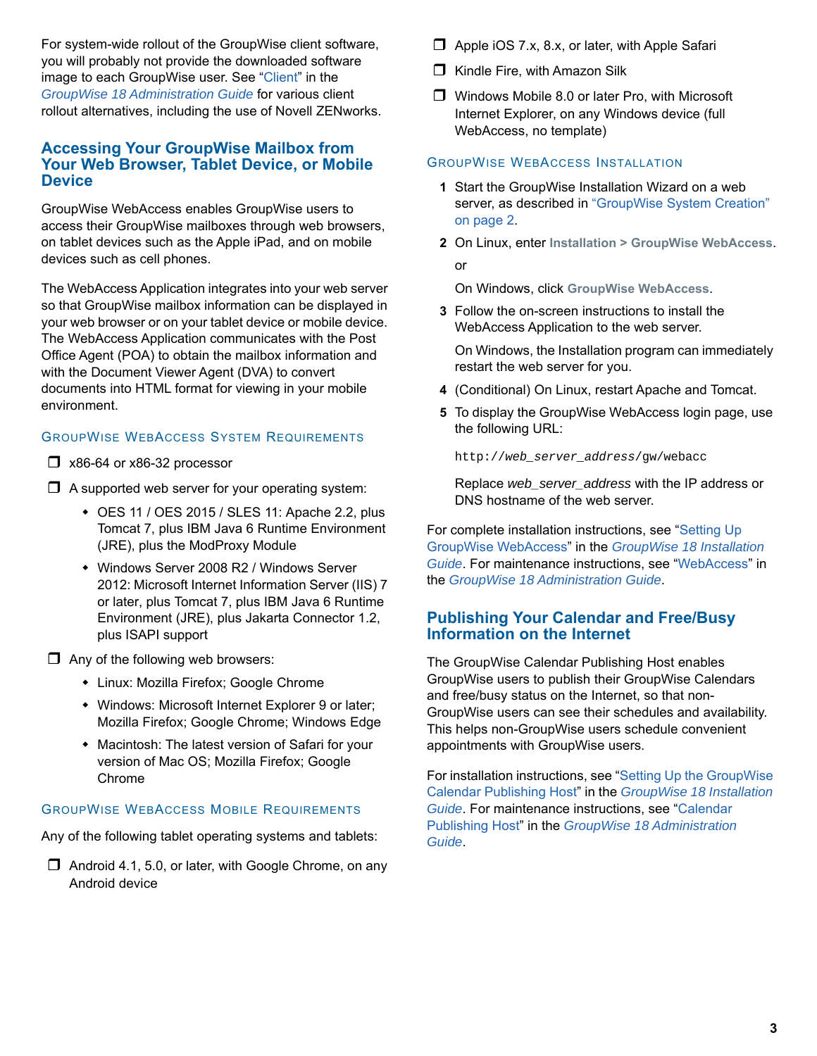For system-wide rollout of the GroupWise client software, you will probably not provide the downloaded software image to each GroupWise user. See "[Client](https://www.novell.com/documentation/groupwise18/pdfdoc/gw18_guide_admin/gw18_guide_admin.pdf#adminclient)" in the *[GroupWise 18 Administration Guide](https://www.novell.com/documentation/groupwise18/pdfdoc/gw18_guide_admin/gw18_guide_admin.pdf#adminfront)* for various client rollout alternatives, including the use of Novell ZENworks.

#### **Accessing Your GroupWise Mailbox from Your Web Browser, Tablet Device, or Mobile Device**

GroupWise WebAccess enables GroupWise users to access their GroupWise mailboxes through web browsers, on tablet devices such as the Apple iPad, and on mobile devices such as cell phones.

The WebAccess Application integrates into your web server so that GroupWise mailbox information can be displayed in your web browser or on your tablet device or mobile device. The WebAccess Application communicates with the Post Office Agent (POA) to obtain the mailbox information and with the Document Viewer Agent (DVA) to convert documents into HTML format for viewing in your mobile environment.

#### <span id="page-2-0"></span>GROUPWISE WEBACCESS SYSTEM REQUIREMENTS

 $\Box$  x86-64 or x86-32 processor

 $\Box$  A supported web server for your operating system:

- OES 11 / OES 2015 / SLES 11: Apache 2.2, plus Tomcat 7, plus IBM Java 6 Runtime Environment (JRE), plus the ModProxy Module
- Windows Server 2008 R2 / Windows Server 2012: Microsoft Internet Information Server (IIS) 7 or later, plus Tomcat 7, plus IBM Java 6 Runtime Environment (JRE), plus Jakarta Connector 1.2, plus ISAPI support

 $\Box$  Any of the following web browsers:

- Linux: Mozilla Firefox; Google Chrome
- Windows: Microsoft Internet Explorer 9 or later; Mozilla Firefox; Google Chrome; Windows Edge
- Macintosh: The latest version of Safari for your version of Mac OS; Mozilla Firefox; Google Chrome

## GROUPWISE WEBACCESS MOBILE REQUIREMENTS

Any of the following tablet operating systems and tablets:

 $\Box$  Android 4.1, 5.0, or later, with Google Chrome, on any Android device

- $\Box$  Apple iOS 7.x, 8.x, or later, with Apple Safari
- $\Box$  Kindle Fire, with Amazon Silk
- □ Windows Mobile 8.0 or later Pro, with Microsoft Internet Explorer, on any Windows device (full WebAccess, no template)

## GROUPWISE WEBACCESS INSTALLATION

- **1** Start the GroupWise Installation Wizard on a web server, as described in ["GroupWise System Creation"](#page-1-0)  [on page 2](#page-1-0).
- **2** On Linux, enter **Installation > GroupWise WebAccess**. or

On Windows, click **GroupWise WebAccess**.

**3** Follow the on-screen instructions to install the WebAccess Application to the web server.

On Windows, the Installation program can immediately restart the web server for you.

- **4** (Conditional) On Linux, restart Apache and Tomcat.
- **5** To display the GroupWise WebAccess login page, use the following URL:

http://*web\_server\_address*/gw/webacc

Replace *web\_server\_address* with the IP address or DNS hostname of the web server.

For complete installation instructions, see ["Setting Up](https://www.novell.com/documentation/groupwise18/pdfdoc/gw18_guide_install/gw18_guide_install.pdf#installwebaccess)  GroupWise WebAccess" in the *[GroupWise 18 Installation](https://www.novell.com/documentation/groupwise18/pdfdoc/gw18_guide_install/gw18_guide_install.pdf#instfront)  Guide*. For maintenance instructions, see ["WebAccess"](https://www.novell.com/documentation/groupwise18/pdfdoc/gw18_guide_admin/gw18_guide_admin.pdf#adminwebaccess) in the *[GroupWise 18 Administration Guide](https://www.novell.com/documentation/groupwise18/pdfdoc/gw18_guide_admin/gw18_guide_admin.pdf#adminfront)*.

#### **Publishing Your Calendar and Free/Busy Information on the Internet**

The GroupWise Calendar Publishing Host enables GroupWise users to publish their GroupWise Calendars and free/busy status on the Internet, so that non-GroupWise users can see their schedules and availability. This helps non-GroupWise users schedule convenient appointments with GroupWise users.

For installation instructions, see "[Setting Up the GroupWise](https://www.novell.com/documentation/groupwise18/pdfdoc/gw18_guide_install/gw18_guide_install.pdf#installcalpubhost)  Calendar Publishing Host" in the *[GroupWise 18 Installation](https://www.novell.com/documentation/groupwise18/pdfdoc/gw18_guide_install/gw18_guide_install.pdf#instfront)  Guide*. For maintenance instructions, see ["Calendar](https://www.novell.com/documentation/groupwise18/pdfdoc/gw18_guide_admin/gw18_guide_admin.pdf#admincalpub)  Publishing Host" in the *[GroupWise 18 Administration](https://www.novell.com/documentation/groupwise18/pdfdoc/gw18_guide_admin/gw18_guide_admin.pdf#adminfront)  Guide*.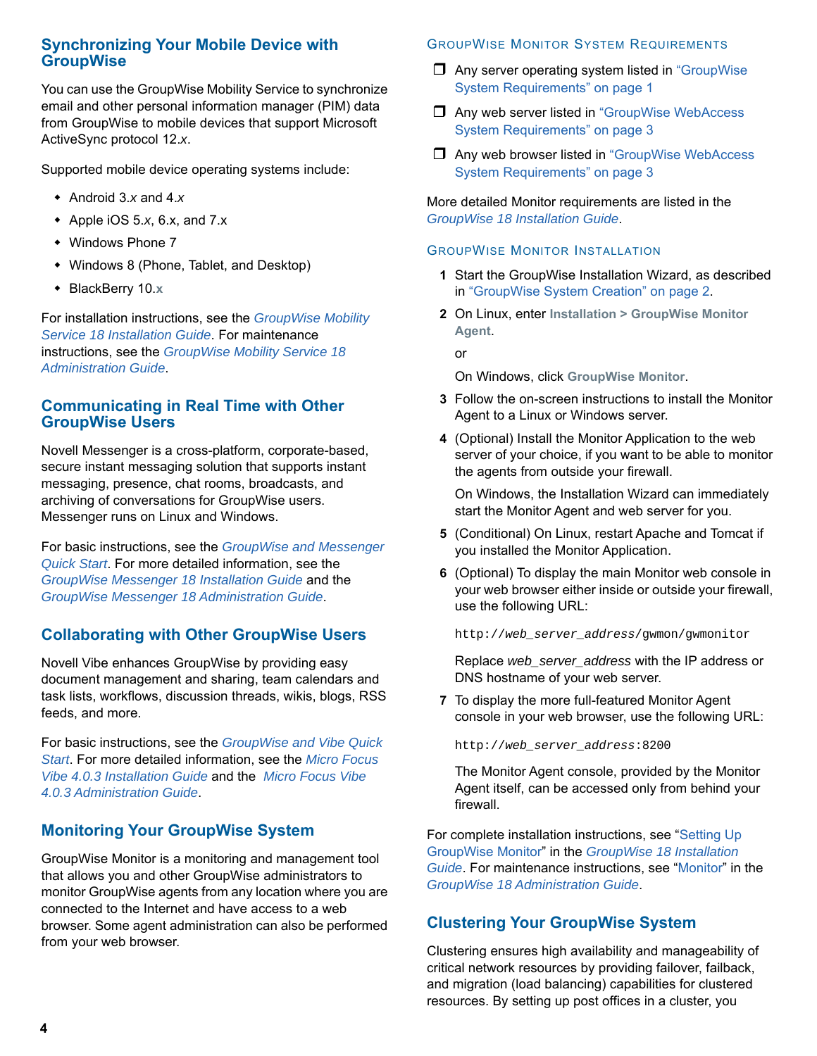### **Synchronizing Your Mobile Device with GroupWise**

You can use the GroupWise Mobility Service to synchronize email and other personal information manager (PIM) data from GroupWise to mobile devices that support Microsoft ActiveSync protocol 12.*x*.

Supported mobile device operating systems include:

- Android 3.*x* and 4.*x*
- Apple iOS 5.*x*, 6.x, and 7.x
- Windows Phone 7
- Windows 8 (Phone, Tablet, and Desktop)
- BlackBerry 10.**x**

For installation instructions, see the *[G](https://www.novell.com/documentation/gwmobility18/pdfdoc/gwmob18_guide_install/gwmob18_guide_install.pdf#instfront)roupWise Mobility Service 18 Installation Guide*. For maintenance instructions, see the *GroupWise Mobility Service 18 Administration Guide*.

### **Communicating in Real Time with Other GroupWise Users**

Novell Messenger is a cross-platform, corporate-based, secure instant messaging solution that supports instant messaging, presence, chat rooms, broadcasts, and archiving of conversations for GroupWise users. Messenger runs on Linux and Windows.

For basic instructions, see the *[GroupWise and Messenger](https://www.novell.com/documentation/groupwise2014/gw18_qs_messenger/data/gw18_qs_messenger.html)  [Quick Start](https://www.novell.com/documentation/groupwise2014/gw18_qs_messenger/data/gw18_qs_messenger.html)*. For more detailed information, see the *GroupWise Messenger 18 Installation Guide* and the *GroupWise Messenger 18 Administration Guide*.

## **Collaborating with Other GroupWise Users**

Novell Vibe enhances GroupWise by providing easy document management and sharing, team calendars and task lists, workflows, discussion threads, wikis, blogs, RSS feeds, and more.

For basic instructions, see the *[GroupWise and Vibe Quick](https://www.novell.com/documentation/groupwise2014/gw18_qs_vibe/data/gw18_qs_vibe.html)  [Start](https://www.novell.com/documentation/groupwise2014/gw18_qs_vibe/data/gw18_qs_vibe.html)*. For more detailed information, see the *[M](https://www.novell.com/documentation/vibe4/pdfdoc/vibe4_inst/vibe4_inst.pdf#bookinfo)icro Focus Vibe 4.0.3 Installation Guide* and the *Micro Focus Vibe 4.0.3 Administration Guide*.

# **Monitoring Your GroupWise System**

GroupWise Monitor is a monitoring and management tool that allows you and other GroupWise administrators to monitor GroupWise agents from any location where you are connected to the Internet and have access to a web browser. Some agent administration can also be performed from your web browser.

## GROUPWISE MONITOR SYSTEM REQUIREMENTS

- $\Box$  Any server operating system listed in "GroupWise" [System Requirements" on page 1](#page-0-0)
- □ Any web server listed in "GroupWise WebAccess [System Requirements" on page 3](#page-2-0)
- Any web browser listed in ["GroupWise WebAccess](#page-2-0)  [System Requirements" on page 3](#page-2-0)

More detailed Monitor requirements are listed in the *[GroupWise 18 Installation Guide](https://www.novell.com/documentation/groupwise18/pdfdoc/gw18_guide_install/gw18_guide_install.pdf#instfront)*.

#### GROUPWISE MONITOR INSTALLATION

- **1** Start the GroupWise Installation Wizard, as described in ["GroupWise System Creation" on page 2](#page-1-0).
- **2** On Linux, enter **Installation > GroupWise Monitor Agent**.

or

On Windows, click **GroupWise Monitor**.

- **3** Follow the on-screen instructions to install the Monitor Agent to a Linux or Windows server.
- **4** (Optional) Install the Monitor Application to the web server of your choice, if you want to be able to monitor the agents from outside your firewall.

On Windows, the Installation Wizard can immediately start the Monitor Agent and web server for you.

- **5** (Conditional) On Linux, restart Apache and Tomcat if you installed the Monitor Application.
- **6** (Optional) To display the main Monitor web console in your web browser either inside or outside your firewall, use the following URL:

http://*web\_server\_address*/gwmon/gwmonitor

Replace *web\_server\_address* with the IP address or DNS hostname of your web server.

**7** To display the more full-featured Monitor Agent console in your web browser, use the following URL:

http://*web\_server\_address*:8200

The Monitor Agent console, provided by the Monitor Agent itself, can be accessed only from behind your firewall.

For complete installation instructions, see ["Setting Up](https://www.novell.com/documentation/groupwise18/pdfdoc/gw18_guide_install/gw18_guide_install.pdf#installmonitor)  GroupWise Monitor" in the *[GroupWise 18 Installation](https://www.novell.com/documentation/groupwise18/pdfdoc/gw18_guide_install/gw18_guide_install.pdf#instfront)  Guide*. For maintenance instructions, see ["Monitor"](https://www.novell.com/documentation/groupwise18/pdfdoc/gw18_guide_admin/gw18_guide_admin.pdf#adminmonitor) in the *[GroupWise 18 Administration Guide](https://www.novell.com/documentation/groupwise18/pdfdoc/gw18_guide_admin/gw18_guide_admin.pdf#adminfront)*.

## **Clustering Your GroupWise System**

Clustering ensures high availability and manageability of critical network resources by providing failover, failback, and migration (load balancing) capabilities for clustered resources. By setting up post offices in a cluster, you